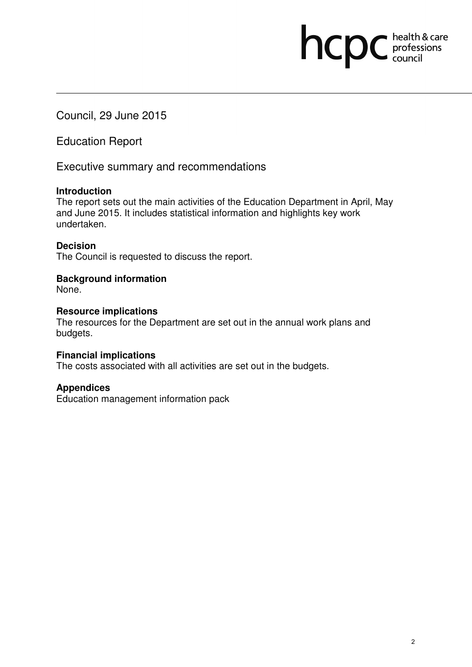Council, 29 June 2015

Education Report

Executive summary and recommendations

# **Introduction**

The report sets out the main activities of the Education Department in April, May and June 2015. It includes statistical information and highlights key work undertaken.

# **Decision**

The Council is requested to discuss the report.

# **Background information**

None.

# **Resource implications**

The resources for the Department are set out in the annual work plans and budgets.

# **Financial implications**

The costs associated with all activities are set out in the budgets.

# **Appendices**

Education management information pack

hcpc health & care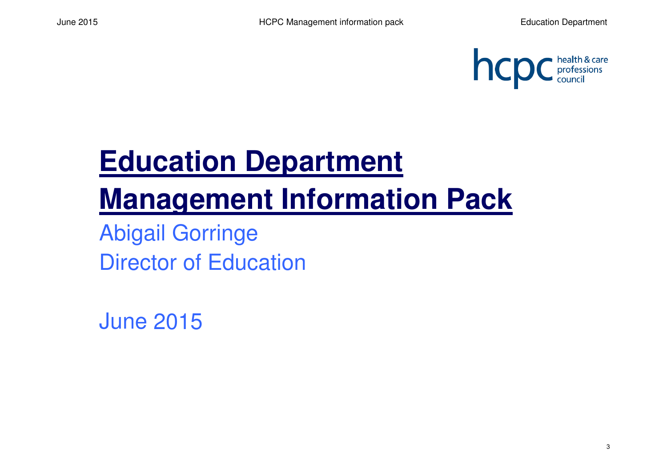

# **Education Department Management Information Pack**

Abigail GorringeDirector of Education

June 2015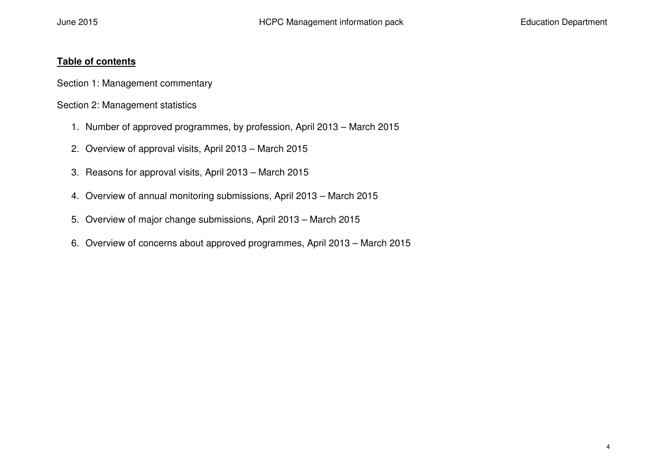# **Table of contents**

Section 1: Management commentary

Section 2: Management statistics

- 1. Number of approved programmes, by profession, April 2013 March 2015
- 2. Overview of approval visits, April 2013 March 2015
- 3. Reasons for approval visits, April 2013 March 2015
- 4. Overview of annual monitoring submissions, April 2013 March 2015
- 5. Overview of major change submissions, April 2013 March 2015
- 6. Overview of concerns about approved programmes, April 2013 March 2015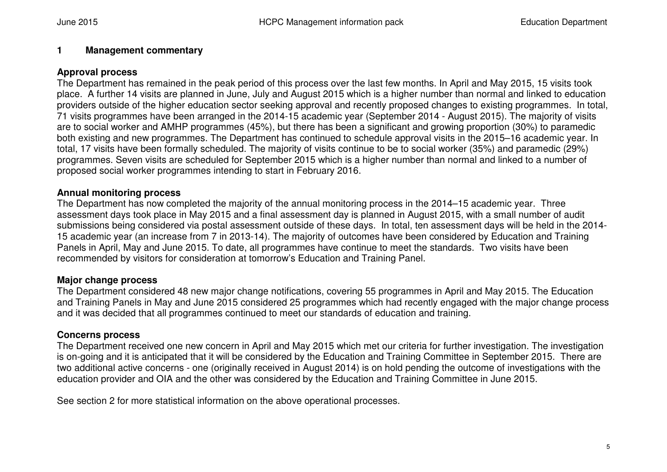## **1 Management commentary**

## **Approval process**

 The Department has remained in the peak period of this process over the last few months. In April and May 2015, 15 visits took place. A further 14 visits are planned in June, July and August 2015 which is a higher number than normal and linked to education providers outside of the higher education sector seeking approval and recently proposed changes to existing programmes. In total, 71 visits programmes have been arranged in the 2014-15 academic year (September 2014 - August 2015). The majority of visits are to social worker and AMHP programmes (45%), but there has been a significant and growing proportion (30%) to paramedic both existing and new programmes. The Department has continued to schedule approval visits in the 2015–16 academic year. In total, 17 visits have been formally scheduled. The majority of visits continue to be to social worker (35%) and paramedic (29%) programmes. Seven visits are scheduled for September 2015 which is a higher number than normal and linked to a number of proposed social worker programmes intending to start in February 2016.

## **Annual monitoring process**

 The Department has now completed the majority of the annual monitoring process in the 2014–15 academic year. Three assessment days took place in May 2015 and a final assessment day is planned in August 2015, with a small number of audit submissions being considered via postal assessment outside of these days. In total, ten assessment days will be held in the 2014-15 academic year (an increase from 7 in 2013-14). The majority of outcomes have been considered by Education and Training Panels in April, May and June 2015. To date, all programmes have continue to meet the standards. Two visits have been recommended by visitors for consideration at tomorrow's Education and Training Panel.

# **Major change process**

 The Department considered 48 new major change notifications, covering 55 programmes in April and May 2015. The Education and Training Panels in May and June 2015 considered 25 programmes which had recently engaged with the major change process and it was decided that all programmes continued to meet our standards of education and training.

## **Concerns process**

 The Department received one new concern in April and May 2015 which met our criteria for further investigation. The investigation is on-going and it is anticipated that it will be considered by the Education and Training Committee in September 2015. There are two additional active concerns - one (originally received in August 2014) is on hold pending the outcome of investigations with the education provider and OIA and the other was considered by the Education and Training Committee in June 2015.

See section 2 for more statistical information on the above operational processes.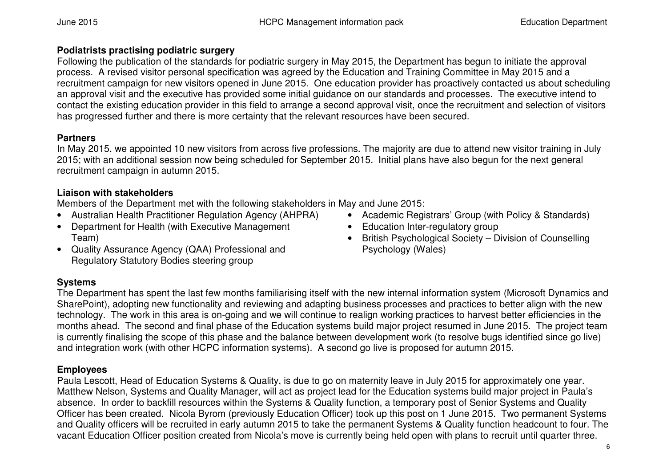# **Podiatrists practising podiatric surgery**

 Following the publication of the standards for podiatric surgery in May 2015, the Department has begun to initiate the approval process. A revised visitor personal specification was agreed by the Education and Training Committee in May 2015 and a recruitment campaign for new visitors opened in June 2015. One education provider has proactively contacted us about scheduling an approval visit and the executive has provided some initial guidance on our standards and processes. The executive intend to contact the existing education provider in this field to arrange a second approval visit, once the recruitment and selection of visitors has progressed further and there is more certainty that the relevant resources have been secured.

# **Partners**

 In May 2015, we appointed 10 new visitors from across five professions. The majority are due to attend new visitor training in July 2015; with an additional session now being scheduled for September 2015. Initial plans have also begun for the next general recruitment campaign in autumn 2015.

# **Liaison with stakeholders**

Members of the Department met with the following stakeholders in May and June 2015:

- Australian Health Practitioner Regulation Agency (AHPRA)
- Department for Health (with Executive Management Team)
- Quality Assurance Agency (QAA) Professional and Regulatory Statutory Bodies steering group
- Academic Registrars' Group (with Policy & Standards)
- Education Inter-regulatory group
- British Psychological Society Division of Counselling Psychology (Wales)

# **Systems**

 The Department has spent the last few months familiarising itself with the new internal information system (Microsoft Dynamics and SharePoint), adopting new functionality and reviewing and adapting business processes and practices to better align with the new technology. The work in this area is on-going and we will continue to realign working practices to harvest better efficiencies in the months ahead. The second and final phase of the Education systems build major project resumed in June 2015. The project team is currently finalising the scope of this phase and the balance between development work (to resolve bugs identified since go live) and integration work (with other HCPC information systems). A second go live is proposed for autumn 2015.

# **Employees**

 Paula Lescott, Head of Education Systems & Quality, is due to go on maternity leave in July 2015 for approximately one year. Matthew Nelson, Systems and Quality Manager, will act as project lead for the Education systems build major project in Paula's absence. In order to backfill resources within the Systems & Quality function, a temporary post of Senior Systems and Quality Officer has been created. Nicola Byrom (previously Education Officer) took up this post on 1 June 2015. Two permanent Systems and Quality officers will be recruited in early autumn 2015 to take the permanent Systems & Quality function headcount to four. The vacant Education Officer position created from Nicola's move is currently being held open with plans to recruit until quarter three.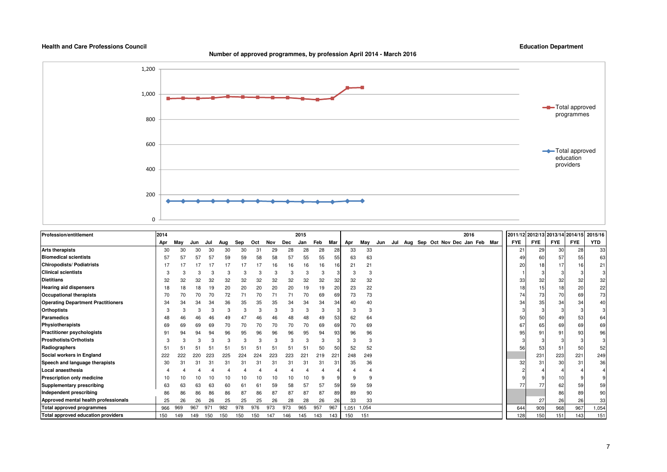**Number of approved programmes, by profession April 2014 - March 2016**



| <b>Profession/entitlement</b>             | 2014 |     |     |     |     |     |     |     |     | 2015 |     |                 |      |       |     |     |     |  | 2016                        |  | 2011/12 2012/13 2013/14 2014/15 |            |            |            | 2015/16    |
|-------------------------------------------|------|-----|-----|-----|-----|-----|-----|-----|-----|------|-----|-----------------|------|-------|-----|-----|-----|--|-----------------------------|--|---------------------------------|------------|------------|------------|------------|
|                                           | Apr  | May | Jun | Jul | Aug | Sep | Oct | Nov | Dec | Jan  | Feb | Mar             | Apr  | May   | Jun | Jul | Aug |  | Sep Oct Nov Dec Jan Feb Mar |  | <b>FYE</b>                      | <b>FYE</b> | <b>FYE</b> | <b>FYE</b> | <b>YTD</b> |
| <b>Arts therapists</b>                    | 30   |     | 30  | 30  | 30  | 30  | 31  | 29  | 28  | 28   | 28  | 28              | 33   | 33    |     |     |     |  |                             |  | 21                              | 29         | 30         | 28         | 33         |
| <b>Biomedical scientists</b>              | 57   |     |     | 57  | 59  | 59  | 58  | 58  | 57  | 55   | 55  | 55              | 63   | 63    |     |     |     |  |                             |  |                                 |            | 57         | 55         | 63         |
| <b>Chiropodists/ Podiatrists</b>          |      |     |     | 17  |     |     |     | 16  | 16  | 16   | 16  | 16              | 21   | 21    |     |     |     |  |                             |  | 20                              | 18         | 17         | 16         | 21         |
| <b>Clinical scientists</b>                |      |     |     |     |     |     |     | 3   |     |      |     |                 |      | 3     |     |     |     |  |                             |  |                                 |            |            |            | 3          |
| <b>Dietitians</b>                         | 32   | 32  | 32  | 32  | 32  | 32  | 32  | 32  | 32  | 32   | 32  | 32              | 32   | 32    |     |     |     |  |                             |  | 33                              | 32         | 32         | 32         | 32         |
| <b>Hearing aid dispensers</b>             | 18   | 18  | 18  | 19  | 20  | 20  | 20  | 20  | 20  | 19   | 19  | 20              | 23   | 22    |     |     |     |  |                             |  | 18                              |            | 18         | 20         | 22         |
| Occupational therapists                   | 70   | 70  | 70  | 70  | 72  |     | 70  |     | 71  | 70   | 69  | 69              | 73   | 73    |     |     |     |  |                             |  | 74                              | 73         | 70         | 69         | 73         |
| <b>Operating Department Practitioners</b> | 34   | 34  | 34  | 34  | 36  | 35  | 35  | 35  | 34  | 34   | 34  | 34              | 40   | 40    |     |     |     |  |                             |  | 34                              | 35         | 34         | 34         | 40         |
| <b>Orthoptists</b>                        |      |     |     |     |     |     |     |     |     |      |     |                 | 3    | 3     |     |     |     |  |                             |  |                                 |            |            |            | 3          |
| <b>Paramedics</b>                         | 48   | 46  | 46  | 46  | 49  |     | 46  | 46  | 48  | 48   | 49  | 53              | 62   | 64    |     |     |     |  |                             |  | 50                              | 50         | 49         | 53         | 64         |
| Physiotherapists                          | 69   | 69  | 69  | 69  |     | 70  | 70  | 70  | 70  | 70   | 69  | 69              | 70   | 69    |     |     |     |  |                             |  | 67                              | 65         | 69         | 69         | 69         |
| <b>Practitioner psychologists</b>         | 9    | 94  | 94  | 94  | 96  | 95  | 96  | 96  | 96  | 95   | 94  | 93              | 96   | 96    |     |     |     |  |                             |  | 95                              | 91         | 91         | 93         | 96         |
| <b>Prosthotists/Orthotists</b>            | 3    |     |     |     |     |     |     |     |     |      |     |                 | 3    | 3     |     |     |     |  |                             |  |                                 |            |            |            | 3          |
| Radiographers                             | 51   |     |     | 5   |     |     |     |     | 51  | 51   | 50  | 50              | 52   | 52    |     |     |     |  |                             |  | 56                              | 53         | 51         | 50         | 52         |
| Social workers in England                 | 222  | 222 | 220 |     |     | 224 | 224 | 223 | 223 | 221  | 219 | 22 <sub>1</sub> | 248  | 249   |     |     |     |  |                             |  |                                 | 231        | 223        | 221        | 249        |
| Speech and language therapists            | 30   |     |     | 31  | 31  | 31  | 3.  |     | 31  | 31   | 31  | 31              | 35   | 36    |     |     |     |  |                             |  | 32                              | 31         | 30         | 31         | 36         |
| Local anaesthesia                         |      |     |     |     |     |     |     |     |     |      |     |                 |      |       |     |     |     |  |                             |  |                                 |            |            |            |            |
| <b>Prescription only medicine</b>         |      |     |     |     |     |     |     | 10  | 10  |      |     |                 |      | 9     |     |     |     |  |                             |  |                                 |            |            |            | 9          |
| Supplementary prescribing                 | 63   | 63  | 63  | 63  | 60  |     |     | 59  | 58  | 57   | 57  | 59              | 59   | 59    |     |     |     |  |                             |  |                                 |            | 62         | 59         | 59         |
| Independent prescribing                   | 86   | 86  | 86  | 86  | 86  | 87  | 86  | 87  | 87  | 87   | 87  | 89              | 89   | 90    |     |     |     |  |                             |  |                                 |            | 86         | 89         | 90         |
| Approved mental health professionals      | 25   | 26  | 26  | 26  | 25  | 25  | 25  | 26  | 28  | 28   | 26  | 26              | 33   | 33    |     |     |     |  |                             |  |                                 | 27         | 26         | 26         | 33         |
| Total approved programmes                 | 966  | 969 | 967 | 971 | 982 | 978 | 976 | 973 | 973 | 965  | 957 | 967             | .051 | 1,054 |     |     |     |  |                             |  | 644                             | 909        | 968        | 967        | 1,054      |
| Total approved education providers        | 150  | 149 | 149 | 150 | 150 | 150 | 150 | 147 | 146 | 145  | 143 | 143             | 150  | 151   |     |     |     |  |                             |  | 128                             | 150        | 151        | 143        | 151        |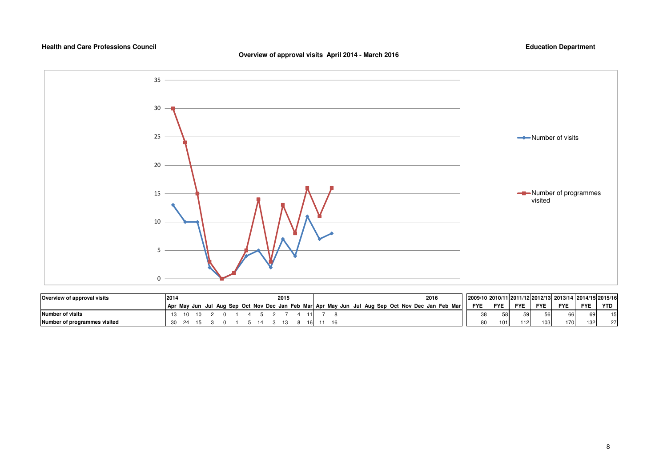## **Overview of approval visits April 2014 - March 2016**



| Overview of approval visits  | 2014 |    |  |  |  | 2015 |     |  |  |  |  | 2016                                                                                            |                 |            |            |            | 2009/10 2010/11 2011/12 2012/13 2013/14 2014/15 2015/16 |                  |     |
|------------------------------|------|----|--|--|--|------|-----|--|--|--|--|-------------------------------------------------------------------------------------------------|-----------------|------------|------------|------------|---------------------------------------------------------|------------------|-----|
|                              |      |    |  |  |  |      |     |  |  |  |  | Apr May Jun Jul Aug Sep Oct Nov Dec Jan Feb Mar Apr May Jun Jul Aug Sep Oct Nov Dec Jan Feb Mar | <b>FYE</b>      | <b>FYE</b> | <b>FYE</b> | <b>FYE</b> | <b>FYE</b>                                              | <b>FYE</b>       | YTD |
| Number of visits             |      | 10 |  |  |  |      |     |  |  |  |  |                                                                                                 | 38              | 58         | 59         | 56         | 66                                                      | 69               | 15  |
| Number of programmes visited |      |    |  |  |  |      | 161 |  |  |  |  |                                                                                                 | 80 <sup>1</sup> | 101        | 112        | 103        | 170                                                     | 132 <sub>1</sub> | 27  |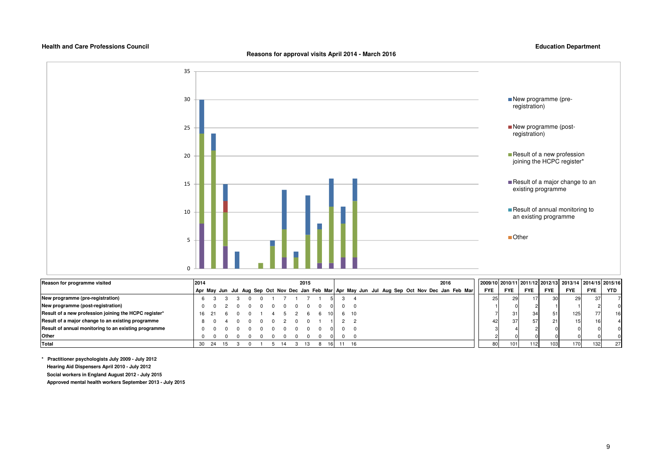**Reasons for approval visits April 2014 - March 2016**

**Education Department**



| Reason for programme visited                          | 2014 |  |  |  |  | 2015 |  |       |  |  |  | 2016                                                                                            |            |            |            |            | 2009/10 2010/11 2011/12 2012/13 2013/14 2014/15 2015/16 |                 |                 |
|-------------------------------------------------------|------|--|--|--|--|------|--|-------|--|--|--|-------------------------------------------------------------------------------------------------|------------|------------|------------|------------|---------------------------------------------------------|-----------------|-----------------|
|                                                       |      |  |  |  |  |      |  |       |  |  |  | Apr May Jun Jul Aug Sep Oct Nov Dec Jan Feb Mar Apr May Jun Jul Aug Sep Oct Nov Dec Jan Feb Mar | <b>FYE</b> | <b>FYE</b> | <b>FYE</b> | <b>FYE</b> | <b>FYE</b>                                              | <b>FYE</b>      | <b>YTD</b>      |
| New programme (pre-registration)                      |      |  |  |  |  |      |  |       |  |  |  |                                                                                                 | 25         |            |            |            | 29                                                      | 37              |                 |
| New programme (post-registration)                     |      |  |  |  |  |      |  |       |  |  |  |                                                                                                 |            |            |            |            |                                                         |                 |                 |
| Result of a new profession joining the HCPC register* |      |  |  |  |  |      |  | 6 10  |  |  |  |                                                                                                 |            | 31         | 34         |            | 125                                                     | 77              | 16 <sup>1</sup> |
| Result of a major change to an existing programme     |      |  |  |  |  |      |  |       |  |  |  |                                                                                                 | 42         | 37         | 57         |            |                                                         | 16 <sub>1</sub> |                 |
| Result of annual monitoring to an existing programme  |      |  |  |  |  |      |  |       |  |  |  |                                                                                                 |            |            |            |            |                                                         |                 |                 |
| <b>Other</b>                                          |      |  |  |  |  |      |  |       |  |  |  |                                                                                                 |            |            |            |            |                                                         |                 |                 |
| Total                                                 |      |  |  |  |  |      |  | 11 16 |  |  |  |                                                                                                 | 80         | 1011       | 1121       | 103        | 170                                                     | 132             | 27              |

**\* Practitioner psychologists July 2009 - July 2012 Hearing Aid Dispensers April 2010 - July 2012 Social workers in England August 2012 - July 2015**

 **Approved mental health workers September 2013 - July 2015**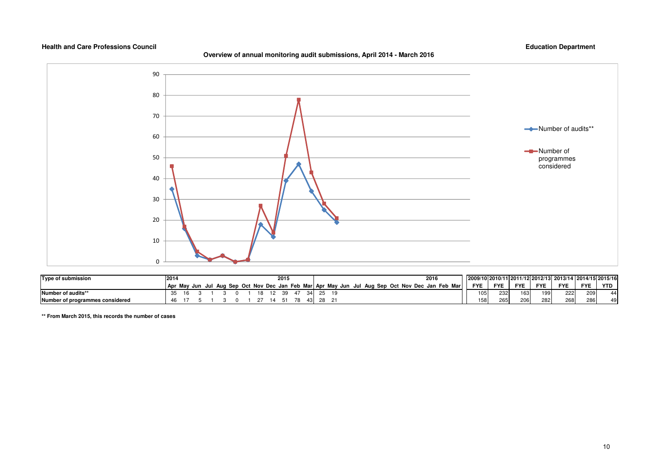## **Overview of annual monitoring audit submissions, April 2014 - March 2016**

## **Education Department**



| <b>Type of submission</b>       | 2014 |  |  |  |    |  | 2015 |    |  |  |  |  | 2016                                                                                            |            |            |            |              | 2009/10 2010/11 2011/12 2012/13 2013/14 2014/15 2015/16 |            |            |
|---------------------------------|------|--|--|--|----|--|------|----|--|--|--|--|-------------------------------------------------------------------------------------------------|------------|------------|------------|--------------|---------------------------------------------------------|------------|------------|
|                                 |      |  |  |  |    |  |      |    |  |  |  |  | Apr May Jun Jul Aug Sep Oct Nov Dec Jan Feb Mar Apr May Jun Jul Aug Sep Oct Nov Dec Jan Feb Mar | <b>FYE</b> | <b>FYE</b> | <b>FYE</b> | <b>FYE</b>   | <b>FYE</b>                                              | <b>FYE</b> | <b>YTD</b> |
| Number of audits**              |      |  |  |  | 18 |  | ີດ   | 21 |  |  |  |  |                                                                                                 | 105        | 232        | 163        | 100<br>l J J | 222                                                     | 209        | 44         |
| Number of programmes considered | 46   |  |  |  |    |  |      |    |  |  |  |  |                                                                                                 | 158        | 265        | 206        | 282          | 268                                                     | 286        | 49         |

**\*\* From March 2015, this records the number of cases**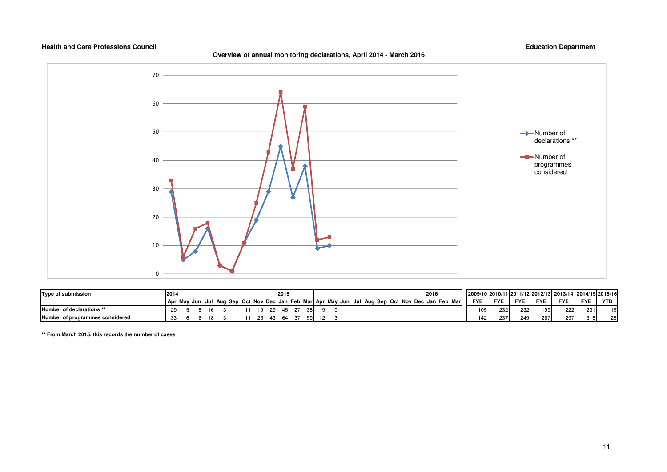## **Overview of annual monitoring declarations, April 2014 - March 2016**

## **Education Department**



| Type of submission              | 2014 |  |  |  |    |      | 2015 |      |  |  |  |  | 2016 |                                                                                                 |                  |                  |            |            | 2009/10 2010/11 2011/12 2012/13 2013/14 2014/15 2015/16 |            |     |
|---------------------------------|------|--|--|--|----|------|------|------|--|--|--|--|------|-------------------------------------------------------------------------------------------------|------------------|------------------|------------|------------|---------------------------------------------------------|------------|-----|
|                                 |      |  |  |  |    |      |      |      |  |  |  |  |      | Apr May Jun Jul Aug Sep Oct Nov Dec Jan Feb Mar Apr May Jun Jul Aug Sep Oct Nov Dec Jan Feb Mar | <b>FYE</b>       | <b>FYE</b>       | <b>FYE</b> | <b>FYE</b> | <b>FYE</b>                                              | <b>FYE</b> | YTD |
| Number of declarations **       |      |  |  |  | 19 | - 29 | 45   | -381 |  |  |  |  |      |                                                                                                 | 105              | 232 <sub>1</sub> | 232        | 199        | 222                                                     | 231        | 19  |
| Number of programmes considered |      |  |  |  |    |      | 64   |      |  |  |  |  |      |                                                                                                 | 142 <sub>1</sub> | 237              | 249        | 267        | 297                                                     | 316        | 25  |

**\*\* From March 2015, this records the number of cases**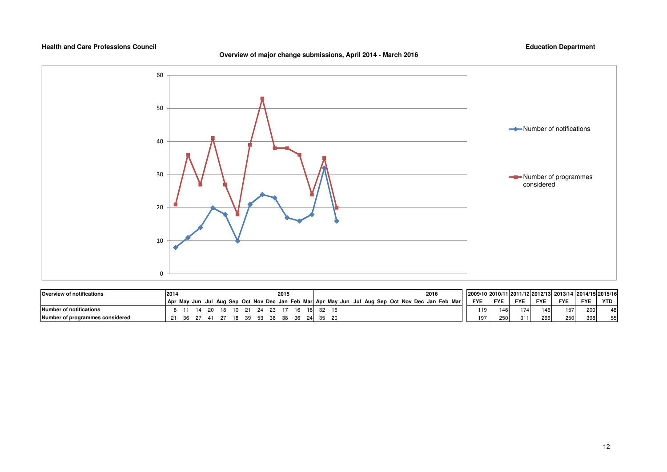## **Overview of major change submissions, April 2014 - March 2016**



| <b>Overview of notifications</b> | 2014 |     |    |     |       |  |             | 2015 |      |          |  |  |  | 2016                                                                                            |            |            |            |            | 2009/10 2010/11 2011/12 2012/13 2013/14 2014/15 2015/16 |            |     |
|----------------------------------|------|-----|----|-----|-------|--|-------------|------|------|----------|--|--|--|-------------------------------------------------------------------------------------------------|------------|------------|------------|------------|---------------------------------------------------------|------------|-----|
|                                  |      |     |    |     |       |  |             |      |      |          |  |  |  | Apr May Jun Jul Aug Sep Oct Nov Dec Jan Feb Mar Apr May Jun Jul Aug Sep Oct Nov Dec Jan Feb Mar | <b>FYE</b> | <b>FYE</b> | <b>FYE</b> | <b>FYE</b> | <b>FYE</b>                                              | <b>FYE</b> | YTD |
| Number of notifications          |      |     |    | 18. | 10 21 |  | 24 23 17    |      | - 16 |          |  |  |  |                                                                                                 | 119        | 146        | 1741       | 146        | 157 <sub>1</sub>                                        | 200        | 48  |
| Number of programmes considered  |      | 36. | 41 |     | - 18  |  | 39 53 38 38 |      | - 36 | 24 35 20 |  |  |  |                                                                                                 | 1971       | 250        | 311        | 266        | 250                                                     | 398        | 55  |